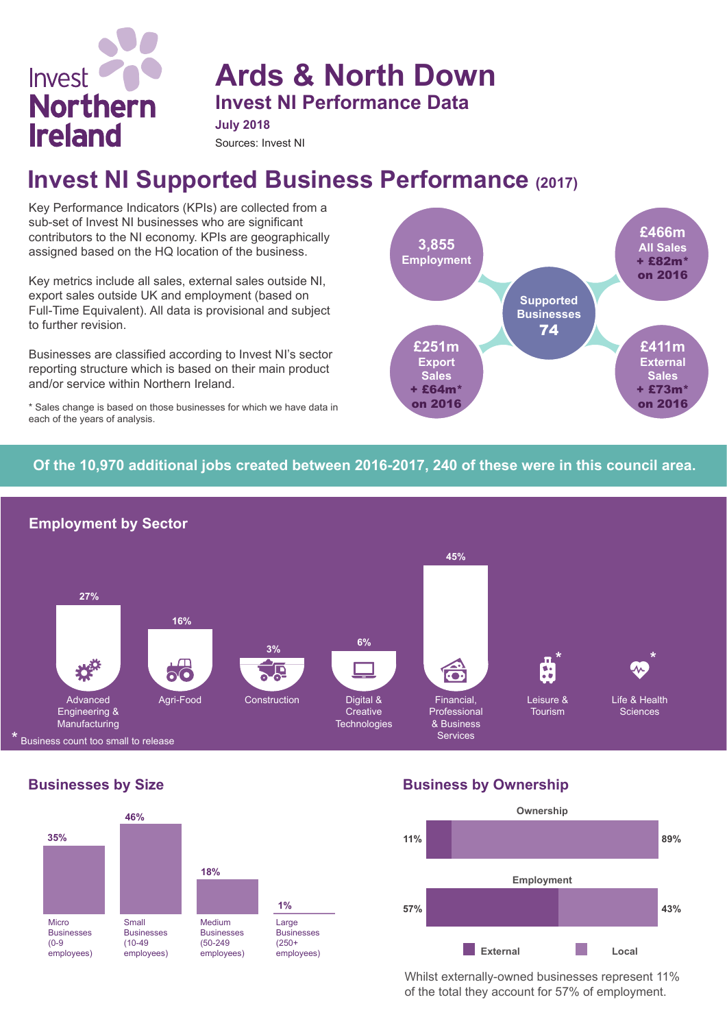

**Ards & North Down Invest NI Performance Data**

**July 2018**

#### Sources: Invest NI

# **Invest NI Supported Business Performance (2017)**

Key Performance Indicators (KPIs) are collected from a sub-set of Invest NI businesses who are significant contributors to the NI economy. KPIs are geographically assigned based on the HQ location of the business.

Key metrics include all sales, external sales outside NI, export sales outside UK and employment (based on Full-Time Equivalent). All data is provisional and subject to further revision.

Businesses are classified according to Invest NI's sector reporting structure which is based on their main product and/or service within Northern Ireland.

\* Sales change is based on those businesses for which we have data in each of the years of analysis.



## **Of the 10,970 additional jobs created between 2016-2017, 240 of these were in this council area.**



### **Businesses by Size**



**Business by Ownership**



Whilst externally-owned businesses represent 11% of the total they account for 57% of employment.